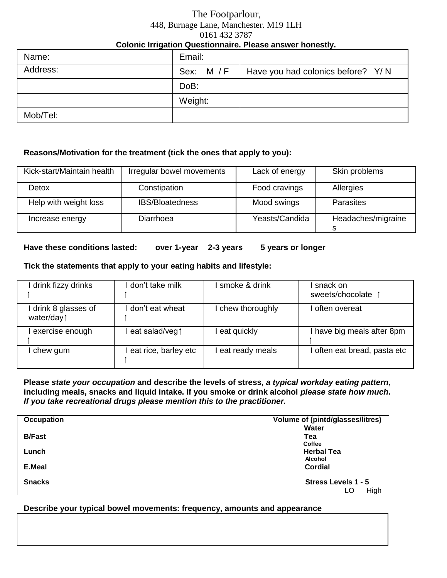### The Footparlour, 448, Burnage Lane, Manchester. M19 1LH 0161 432 3787 **Colonic Irrigation Questionnaire. Please answer honestly.**

| . .      |         |                                                |
|----------|---------|------------------------------------------------|
| Name:    | Email:  |                                                |
| Address: |         | Sex: M / F   Have you had colonics before? Y/N |
|          | DoB:    |                                                |
|          | Weight: |                                                |
| Mob/Tel: |         |                                                |

#### **Reasons/Motivation for the treatment (tick the ones that apply to you):**

| Kick-start/Maintain health | Irregular bowel movements | Lack of energy | Skin problems      |
|----------------------------|---------------------------|----------------|--------------------|
| Detox                      | Constipation              | Food cravings  | Allergies          |
| Help with weight loss      | <b>IBS/Bloatedness</b>    | Mood swings    | <b>Parasites</b>   |
| Increase energy            | Diarrhoea                 | Yeasts/Candida | Headaches/migraine |

#### **Have these conditions lasted: over 1-year 2-3 years 5 years or longer**

#### **Tick the statements that apply to your eating habits and lifestyle:**

| drink fizzy drinks               | I don't take milk    | I smoke & drink   | snack on<br>sweets/chocolate |
|----------------------------------|----------------------|-------------------|------------------------------|
| drink 8 glasses of<br>water/day1 | I don't eat wheat    | I chew thoroughly | often overeat                |
| exercise enough                  | eat salad/veg1       | eat quickly       | have big meals after 8pm     |
| chew gum                         | eat rice, barley etc | eat ready meals   | often eat bread, pasta etc   |

#### **Please** *state your occupation* **and describe the levels of stress,** *a typical workday eating pattern***, including meals, snacks and liquid intake. If you smoke or drink alcohol** *please state how much***.**  *If you take recreational drugs please mention this to the practitioner.*

| Occupation    | Volume of (pintd/glasses/litres) |  |
|---------------|----------------------------------|--|
|               | Water                            |  |
| <b>B/Fast</b> | Tea                              |  |
|               | Coffee                           |  |
| Lunch         | <b>Herbal Tea</b>                |  |
|               | Alcohol                          |  |
| E.Meal        | <b>Cordial</b>                   |  |
| <b>Snacks</b> | Stress Levels 1 - 5              |  |
|               | High<br>LO                       |  |

### **Describe your typical bowel movements: frequency, amounts and appearance**